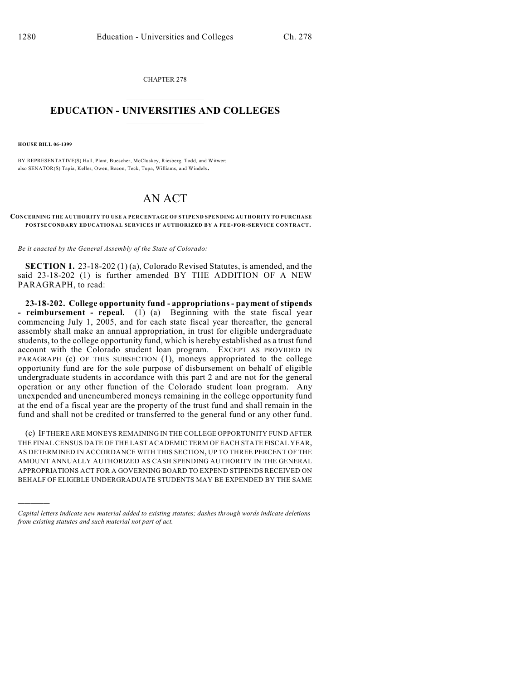CHAPTER 278  $\mathcal{L}_\text{max}$  . The set of the set of the set of the set of the set of the set of the set of the set of the set of the set of the set of the set of the set of the set of the set of the set of the set of the set of the set

## **EDUCATION - UNIVERSITIES AND COLLEGES**  $\frac{1}{2}$  ,  $\frac{1}{2}$  ,  $\frac{1}{2}$  ,  $\frac{1}{2}$  ,  $\frac{1}{2}$  ,  $\frac{1}{2}$  ,  $\frac{1}{2}$

**HOUSE BILL 06-1399**

)))))

BY REPRESENTATIVE(S) Hall, Plant, Buescher, McCluskey, Riesberg, Todd, and Witwer; also SENATOR(S) Tapia, Keller, Owen, Bacon, Teck, Tupa, Williams, and Windels.

## AN ACT

## **CONCERNING THE AUTHORITY TO USE A PERCENTAGE OF STIPEND SPENDING AUTHORITY TO PURCHASE POSTSECONDARY EDUCATIONAL SERVICES IF AUTHORIZED BY A FEE-FOR-SERVICE CONTRACT.**

*Be it enacted by the General Assembly of the State of Colorado:*

**SECTION 1.** 23-18-202 (1) (a), Colorado Revised Statutes, is amended, and the said 23-18-202 (1) is further amended BY THE ADDITION OF A NEW PARAGRAPH, to read:

**23-18-202. College opportunity fund - appropriations - payment of stipends - reimbursement - repeal.** (1) (a) Beginning with the state fiscal year commencing July 1, 2005, and for each state fiscal year thereafter, the general assembly shall make an annual appropriation, in trust for eligible undergraduate students, to the college opportunity fund, which is hereby established as a trust fund account with the Colorado student loan program. EXCEPT AS PROVIDED IN PARAGRAPH (c) OF THIS SUBSECTION (1), moneys appropriated to the college opportunity fund are for the sole purpose of disbursement on behalf of eligible undergraduate students in accordance with this part 2 and are not for the general operation or any other function of the Colorado student loan program. Any unexpended and unencumbered moneys remaining in the college opportunity fund at the end of a fiscal year are the property of the trust fund and shall remain in the fund and shall not be credited or transferred to the general fund or any other fund.

(c) IF THERE ARE MONEYS REMAINING IN THE COLLEGE OPPORTUNITY FUND AFTER THE FINAL CENSUS DATE OF THE LAST ACADEMIC TERM OF EACH STATE FISCAL YEAR, AS DETERMINED IN ACCORDANCE WITH THIS SECTION, UP TO THREE PERCENT OF THE AMOUNT ANNUALLY AUTHORIZED AS CASH SPENDING AUTHORITY IN THE GENERAL APPROPRIATIONS ACT FOR A GOVERNING BOARD TO EXPEND STIPENDS RECEIVED ON BEHALF OF ELIGIBLE UNDERGRADUATE STUDENTS MAY BE EXPENDED BY THE SAME

*Capital letters indicate new material added to existing statutes; dashes through words indicate deletions from existing statutes and such material not part of act.*